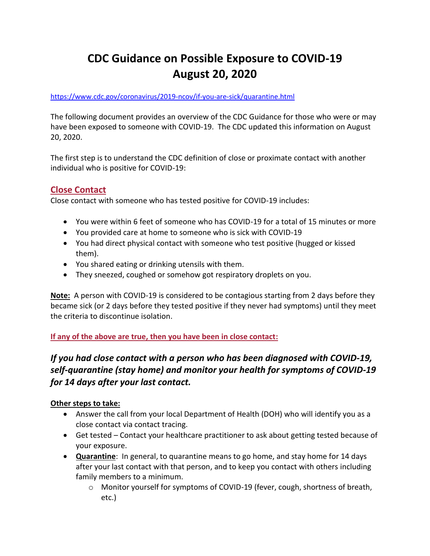# **CDC Guidance on Possible Exposure to COVID-19 August 20, 2020**

#### <https://www.cdc.gov/coronavirus/2019-ncov/if-you-are-sick/quarantine.html>

The following document provides an overview of the CDC Guidance for those who were or may have been exposed to someone with COVID-19. The CDC updated this information on August 20, 2020.

The first step is to understand the CDC definition of close or proximate contact with another individual who is positive for COVID-19:

# **Close Contact**

Close contact with someone who has tested positive for COVID-19 includes:

- You were within 6 feet of someone who has COVID-19 for a total of 15 minutes or more
- You provided care at home to someone who is sick with COVID-19
- You had direct physical contact with someone who test positive (hugged or kissed them).
- You shared eating or drinking utensils with them.
- They sneezed, coughed or somehow got respiratory droplets on you.

**Note:** A person with COVID-19 is considered to be contagious starting from 2 days before they became sick (or 2 days before they tested positive if they never had symptoms) until they meet the criteria to discontinue isolation.

#### **If any of the above are true, then you have been in close contact:**

# *If you had close contact with a person who has been diagnosed with COVID-19, self-quarantine (stay home) and monitor your health for symptoms of COVID-19 for 14 days after your last contact.*

#### **Other steps to take:**

- Answer the call from your local Department of Health (DOH) who will identify you as a close contact via contact tracing.
- Get tested Contact your healthcare practitioner to ask about getting tested because of your exposure.
- **Quarantine**: In general, to quarantine means to go home, and stay home for 14 days after your last contact with that person, and to keep you contact with others including family members to a minimum.
	- o Monitor yourself for symptoms of COVID-19 (fever, cough, shortness of breath, etc.)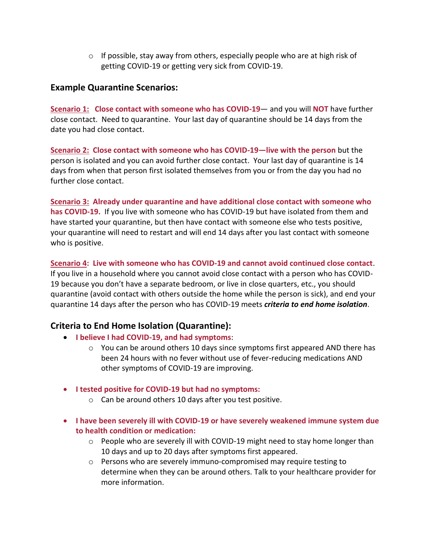$\circ$  If possible, stay away from others, especially people who are at high risk of getting COVID-19 or getting very sick from COVID-19.

# **Example Quarantine Scenarios:**

**Scenario 1: Close contact with someone who has COVID-19**— and you will **NOT** have further close contact. Need to quarantine. Your last day of quarantine should be 14 days from the date you had close contact.

**Scenario 2: Close contact with someone who has COVID-19—live with the person** but the person is isolated and you can avoid further close contact. Your last day of quarantine is 14 days from when that person first isolated themselves from you or from the day you had no further close contact.

**Scenario 3: Already under quarantine and have additional close contact with someone who has COVID-19.** If you live with someone who has COVID-19 but have isolated from them and have started your quarantine, but then have contact with someone else who tests positive, your quarantine will need to restart and will end 14 days after you last contact with someone who is positive.

**Scenario 4: Live with someone who has COVID-19 and cannot avoid continued close contact**. If you live in a household where you cannot avoid close contact with a person who has COVID-19 because you don't have a separate bedroom, or live in close quarters, etc., you should quarantine (avoid contact with others outside the home while the person is sick), and end your quarantine 14 days after the person who has COVID-19 meets *criteria to end home isolation*.

# **Criteria to End Home Isolation (Quarantine):**

- **I believe I had COVID-19, and had symptoms**:
	- $\circ$  You can be around others 10 days since symptoms first appeared AND there has been 24 hours with no fever without use of fever-reducing medications AND other symptoms of COVID-19 are improving.
- **I tested positive for COVID-19 but had no symptoms:**
	- o Can be around others 10 days after you test positive.
- **I have been severely ill with COVID-19 or have severely weakened immune system due to health condition or medication:**
	- $\circ$  People who are severely ill with COVID-19 might need to stay home longer than 10 days and up to 20 days after symptoms first appeared.
	- o Persons who are severely immuno-compromised may require testing to determine when they can be around others. Talk to your healthcare provider for more information.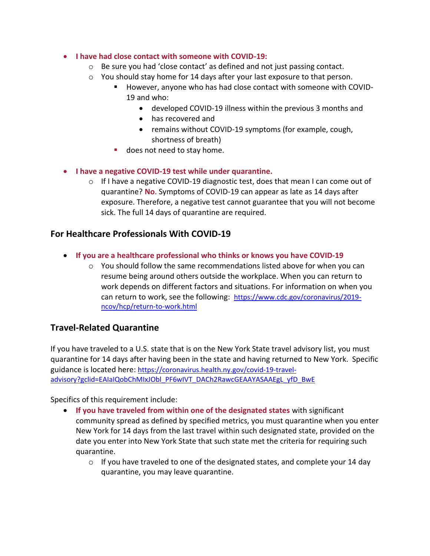- **I have had close contact with someone with COVID-19:**
	- o Be sure you had 'close contact' as defined and not just passing contact.
	- o You should stay home for 14 days after your last exposure to that person.
		- However, anyone who has had close contact with someone with COVID-19 and who:
			- developed COVID-19 illness within the previous 3 months and
			- has recovered and
			- remains without COVID-19 symptoms (for example, cough, shortness of breath)
		- **does not need to stay home.**
- **I have a negative COVID-19 test while under quarantine.**
	- o If I have a negative COVID-19 diagnostic test, does that mean I can come out of quarantine? **No**. Symptoms of COVID-19 can appear as late as 14 days after exposure. Therefore, a negative test cannot guarantee that you will not become sick. The full 14 days of quarantine are required.

#### **For Healthcare Professionals With COVID-19**

- **If you are a healthcare professional who thinks or knows you have COVID-19**
	- o You should follow the same recommendations listed above for when you can resume being around others outside the workplace. When you can return to work depends on different factors and situations. For information on when you can return to work, see the following: [https://www.cdc.gov/coronavirus/2019](https://www.cdc.gov/coronavirus/2019-ncov/hcp/return-to-work.html) [ncov/hcp/return-to-work.html](https://www.cdc.gov/coronavirus/2019-ncov/hcp/return-to-work.html)

# **Travel-Related Quarantine**

If you have traveled to a U.S. state that is on the New York State travel advisory list, you must quarantine for 14 days after having been in the state and having returned to New York. Specific guidance is located here: [https://coronavirus.health.ny.gov/covid-19-travel](https://coronavirus.health.ny.gov/covid-19-travel-advisory?gclid=EAIaIQobChMIxJObl_PF6wIVT_DACh2RawcGEAAYASAAEgL_yfD_BwE)[advisory?gclid=EAIaIQobChMIxJObl\\_PF6wIVT\\_DACh2RawcGEAAYASAAEgL\\_yfD\\_BwE](https://coronavirus.health.ny.gov/covid-19-travel-advisory?gclid=EAIaIQobChMIxJObl_PF6wIVT_DACh2RawcGEAAYASAAEgL_yfD_BwE)

Specifics of this requirement include:

- **If you have traveled from within one of the designated states** with significant community spread as defined by specified metrics, you must quarantine when you enter New York for 14 days from the last travel within such designated state, provided on the date you enter into New York State that such state met the criteria for requiring such quarantine.
	- $\circ$  If you have traveled to one of the designated states, and complete your 14 day quarantine, you may leave quarantine.